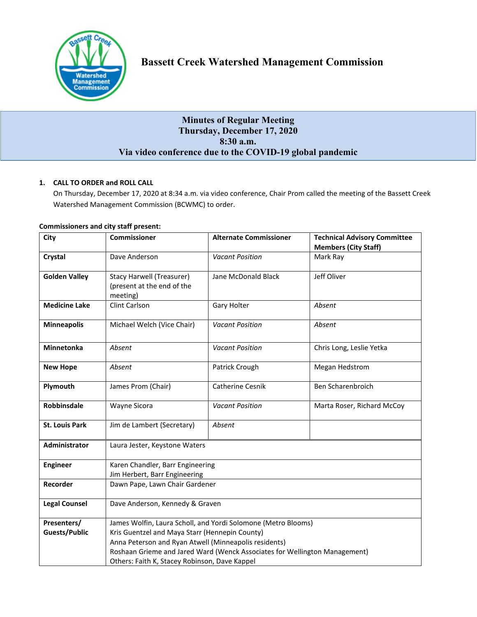

# **Bassett Creek Watershed Management Commission**

# **Minutes of Regular Meeting Thursday, December 17, 2020 8:30 a.m. Via video conference due to the COVID-19 global pandemic**

# **1. CALL TO ORDER and ROLL CALL**

On Thursday, December 17, 2020 at 8:34 a.m. via video conference, Chair Prom called the meeting of the Bassett Creek Watershed Management Commission (BCWMC) to order.

| City                  | <b>Commissioner</b>                                                        | <b>Alternate Commissioner</b> | <b>Technical Advisory Committee</b><br><b>Members (City Staff)</b> |
|-----------------------|----------------------------------------------------------------------------|-------------------------------|--------------------------------------------------------------------|
| <b>Crystal</b>        | Dave Anderson                                                              | <b>Vacant Position</b>        | Mark Ray                                                           |
| <b>Golden Valley</b>  | Stacy Harwell (Treasurer)<br>(present at the end of the<br>meeting)        | Jane McDonald Black           | Jeff Oliver                                                        |
| <b>Medicine Lake</b>  | <b>Clint Carlson</b>                                                       | Gary Holter                   | Absent                                                             |
| <b>Minneapolis</b>    | Michael Welch (Vice Chair)                                                 | <b>Vacant Position</b>        | Absent                                                             |
| Minnetonka            | Absent                                                                     | <b>Vacant Position</b>        | Chris Long, Leslie Yetka                                           |
| <b>New Hope</b>       | Absent                                                                     | Patrick Crough                | Megan Hedstrom                                                     |
| Plymouth              | James Prom (Chair)                                                         | Catherine Cesnik              | Ben Scharenbroich                                                  |
| <b>Robbinsdale</b>    | Wayne Sicora                                                               | <b>Vacant Position</b>        | Marta Roser, Richard McCoy                                         |
| <b>St. Louis Park</b> | Jim de Lambert (Secretary)                                                 | Absent                        |                                                                    |
| Administrator         | Laura Jester, Keystone Waters                                              |                               |                                                                    |
| <b>Engineer</b>       | Karen Chandler, Barr Engineering<br>Jim Herbert, Barr Engineering          |                               |                                                                    |
| Recorder              | Dawn Pape, Lawn Chair Gardener                                             |                               |                                                                    |
| <b>Legal Counsel</b>  | Dave Anderson, Kennedy & Graven                                            |                               |                                                                    |
| Presenters/           | James Wolfin, Laura Scholl, and Yordi Solomone (Metro Blooms)              |                               |                                                                    |
| <b>Guests/Public</b>  | Kris Guentzel and Maya Starr (Hennepin County)                             |                               |                                                                    |
|                       | Anna Peterson and Ryan Atwell (Minneapolis residents)                      |                               |                                                                    |
|                       | Roshaan Grieme and Jared Ward (Wenck Associates for Wellington Management) |                               |                                                                    |
|                       | Others: Faith K, Stacey Robinson, Dave Kappel                              |                               |                                                                    |

# **Commissioners and city staff present:**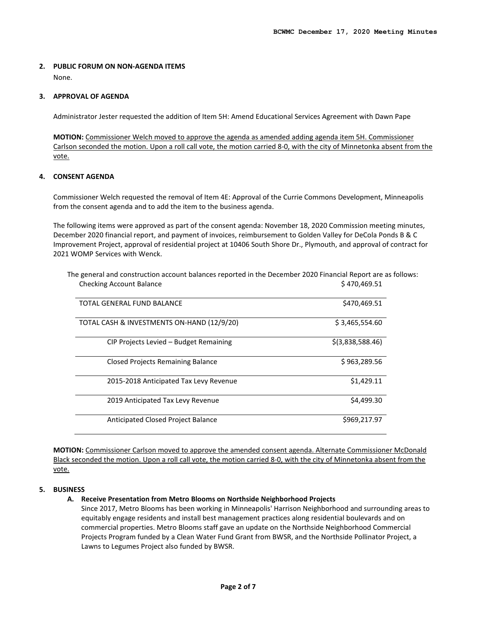# **2. PUBLIC FORUM ON NON-AGENDA ITEMS**

None.

#### **3. APPROVAL OF AGENDA**

Administrator Jester requested the addition of Item 5H: Amend Educational Services Agreement with Dawn Pape

**MOTION:** Commissioner Welch moved to approve the agenda as amended adding agenda item 5H. Commissioner Carlson seconded the motion. Upon a roll call vote, the motion carried 8-0, with the city of Minnetonka absent from the vote.

# **4. CONSENT AGENDA**

Commissioner Welch requested the removal of Item 4E: Approval of the Currie Commons Development, Minneapolis from the consent agenda and to add the item to the business agenda.

The following items were approved as part of the consent agenda: November 18, 2020 Commission meeting minutes, December 2020 financial report, and payment of invoices, reimbursement to Golden Valley for DeCola Ponds B & C Improvement Project, approval of residential project at 10406 South Shore Dr., Plymouth, and approval of contract for 2021 WOMP Services with Wenck.

| TOTAL GENERAL FUND BALANCE                 | \$470,469.51       |
|--------------------------------------------|--------------------|
| TOTAL CASH & INVESTMENTS ON-HAND (12/9/20) | \$3,465,554.60     |
| CIP Projects Levied - Budget Remaining     | $$$ (3,838,588.46) |
| <b>Closed Projects Remaining Balance</b>   | \$963,289.56       |
| 2015-2018 Anticipated Tax Levy Revenue     | \$1,429.11         |
| 2019 Anticipated Tax Levy Revenue          | \$4,499.30         |
| Anticipated Closed Project Balance         | \$969,217.97       |

The general and construction account balances reported in the December 2020 Financial Report are as follows: Checking Account Balance **\$ 470,469.51** 

**MOTION:** Commissioner Carlson moved to approve the amended consent agenda. Alternate Commissioner McDonald Black seconded the motion. Upon a roll call vote, the motion carried 8-0, with the city of Minnetonka absent from the vote.

#### **5. BUSINESS**

# **A. Receive Presentation from Metro Blooms on Northside Neighborhood Projects**

Since 2017, Metro Blooms has been working in Minneapolis' Harrison Neighborhood and surrounding areas to equitably engage residents and install best management practices along residential boulevards and on commercial properties. Metro Blooms staff gave an update on the Northside Neighborhood Commercial Projects Program funded by a Clean Water Fund Grant from BWSR, and the Northside Pollinator Project, a Lawns to Legumes Project also funded by BWSR.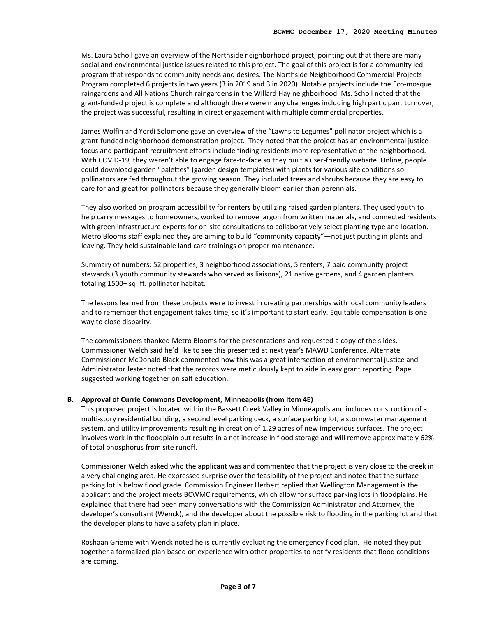Ms. Laura Scholl gave an overview of the Northside neighborhood project, pointing out that there are many social and environmental justice issues related to this project. The goal of this project is for a community led program that responds to community needs and desires. The Northside Neighborhood Commercial Projects Program completed 6 projects in two years (3 in 2019 and 3 in 2020). Notable projects include the Eco-mosque raingardens and All Nations Church raingardens in the Willard Hay neighborhood. Ms. Scholl noted that the grant-funded project is complete and although there were many challenges including high participant turnover, the project was successful, resulting in direct engagement with multiple commercial properties.

James Wolfin and Yordi Solomone gave an overview of the "Lawns to Legumes" pollinator project which is a grant-funded neighborhood demonstration project. They noted that the project has an environmental justice focus and participant recruitment efforts include finding residents more representative of the neighborhood. With COVID-19, they weren't able to engage face-to-face so they built a user-friendly website. Online, people could download garden "palettes" (garden design templates) with plants for various site conditions so pollinators are fed throughout the growing season. They included trees and shrubs because they are easy to care for and great for pollinators because they generally bloom earlier than perennials.

They also worked on program accessibility for renters by utilizing raised garden planters. They used youth to help carry messages to homeowners, worked to remove jargon from written materials, and connected residents with green infrastructure experts for on-site consultations to collaboratively select planting type and location. Metro Blooms staff explained they are aiming to build "community capacity"—not just putting in plants and leaving. They held sustainable land care trainings on proper maintenance.

Summary of numbers: 52 properties, 3 neighborhood associations, 5 renters, 7 paid community project stewards (3 youth community stewards who served as liaisons), 21 native gardens, and 4 garden planters totaling 1500+ sq. ft. pollinator habitat.

The lessons learned from these projects were to invest in creating partnerships with local community leaders and to remember that engagement takes time, so it's important to start early. Equitable compensation is one way to close disparity.

The commissioners thanked Metro Blooms for the presentations and requested a copy of the slides. Commissioner Welch said he'd like to see this presented at next year's MAWD Conference. Alternate Commissioner McDonald Black commented how this was a great intersection of environmental justice and Administrator Jester noted that the records were meticulously kept to aide in easy grant reporting. Pape suggested working together on salt education.

#### **B. Approval of Currie Commons Development, Minneapolis (from Item 4E)**

This proposed project is located within the Bassett Creek Valley in Minneapolis and includes construction of a multi-story residential building, a second level parking deck, a surface parking lot, a stormwater management system, and utility improvements resulting in creation of 1.29 acres of new impervious surfaces. The project involves work in the floodplain but results in a net increase in flood storage and will remove approximately 62% of total phosphorus from site runoff.

Commissioner Welch asked who the applicant was and commented that the project is very close to the creek in a very challenging area. He expressed surprise over the feasibility of the project and noted that the surface parking lot is below flood grade. Commission Engineer Herbert replied that Wellington Management is the applicant and the project meets BCWMC requirements, which allow for surface parking lots in floodplains. He explained that there had been many conversations with the Commission Administrator and Attorney, the developer's consultant (Wenck), and the developer about the possible risk to flooding in the parking lot and that the developer plans to have a safety plan in place.

Roshaan Grieme with Wenck noted he is currently evaluating the emergency flood plan. He noted they put together a formalized plan based on experience with other properties to notify residents that flood conditions are coming.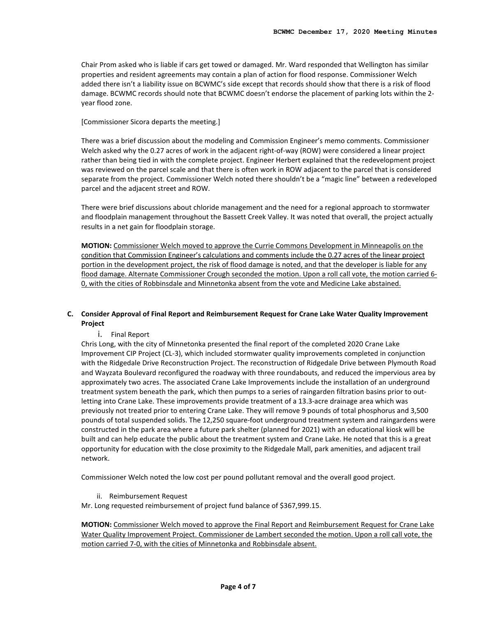Chair Prom asked who is liable if cars get towed or damaged. Mr. Ward responded that Wellington has similar properties and resident agreements may contain a plan of action for flood response. Commissioner Welch added there isn't a liability issue on BCWMC's side except that records should show that there is a risk of flood damage. BCWMC records should note that BCWMC doesn't endorse the placement of parking lots within the 2 year flood zone.

[Commissioner Sicora departs the meeting.]

There was a brief discussion about the modeling and Commission Engineer's memo comments. Commissioner Welch asked why the 0.27 acres of work in the adjacent right-of-way (ROW) were considered a linear project rather than being tied in with the complete project. Engineer Herbert explained that the redevelopment project was reviewed on the parcel scale and that there is often work in ROW adjacent to the parcel that is considered separate from the project. Commissioner Welch noted there shouldn't be a "magic line" between a redeveloped parcel and the adjacent street and ROW.

There were brief discussions about chloride management and the need for a regional approach to stormwater and floodplain management throughout the Bassett Creek Valley. It was noted that overall, the project actually results in a net gain for floodplain storage.

**MOTION:** Commissioner Welch moved to approve the Currie Commons Development in Minneapolis on the condition that Commission Engineer's calculations and comments include the 0.27 acres of the linear project portion in the development project, the risk of flood damage is noted, and that the developer is liable for any flood damage. Alternate Commissioner Crough seconded the motion. Upon a roll call vote, the motion carried 6- 0, with the cities of Robbinsdale and Minnetonka absent from the vote and Medicine Lake abstained.

# **C. Consider Approval of Final Report and Reimbursement Request for Crane Lake Water Quality Improvement Project**

i. Final Report

Chris Long, with the city of Minnetonka presented the final report of the completed 2020 Crane Lake Improvement CIP Project (CL-3), which included stormwater quality improvements completed in conjunction with the Ridgedale Drive Reconstruction Project. The reconstruction of Ridgedale Drive between Plymouth Road and Wayzata Boulevard reconfigured the roadway with three roundabouts, and reduced the impervious area by approximately two acres. The associated Crane Lake Improvements include the installation of an underground treatment system beneath the park, which then pumps to a series of raingarden filtration basins prior to outletting into Crane Lake. These improvements provide treatment of a 13.3-acre drainage area which was previously not treated prior to entering Crane Lake. They will remove 9 pounds of total phosphorus and 3,500 pounds of total suspended solids. The 12,250 square-foot underground treatment system and raingardens were constructed in the park area where a future park shelter (planned for 2021) with an educational kiosk will be built and can help educate the public about the treatment system and Crane Lake. He noted that this is a great opportunity for education with the close proximity to the Ridgedale Mall, park amenities, and adjacent trail network.

Commissioner Welch noted the low cost per pound pollutant removal and the overall good project.

ii. Reimbursement Request

Mr. Long requested reimbursement of project fund balance of \$367,999.15.

**MOTION:** Commissioner Welch moved to approve the Final Report and Reimbursement Request for Crane Lake Water Quality Improvement Project. Commissioner de Lambert seconded the motion. Upon a roll call vote, the motion carried 7-0, with the cities of Minnetonka and Robbinsdale absent.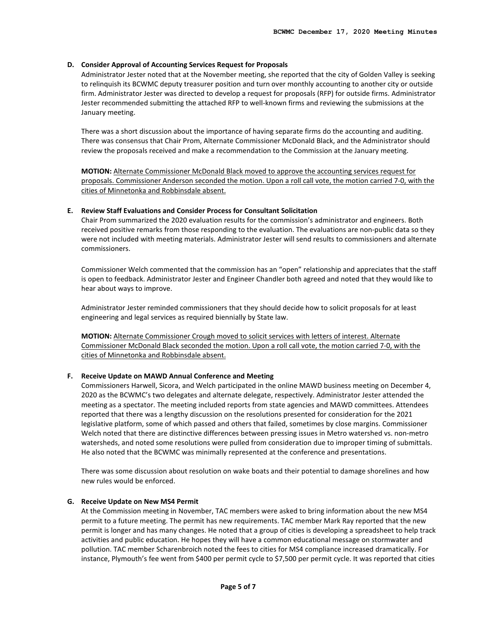#### **D. Consider Approval of Accounting Services Request for Proposals**

Administrator Jester noted that at the November meeting, she reported that the city of Golden Valley is seeking to relinquish its BCWMC deputy treasurer position and turn over monthly accounting to another city or outside firm. Administrator Jester was directed to develop a request for proposals (RFP) for outside firms. Administrator Jester recommended submitting the attached RFP to well-known firms and reviewing the submissions at the January meeting.

There was a short discussion about the importance of having separate firms do the accounting and auditing. There was consensus that Chair Prom, Alternate Commissioner McDonald Black, and the Administrator should review the proposals received and make a recommendation to the Commission at the January meeting.

**MOTION:** Alternate Commissioner McDonald Black moved to approve the accounting services request for proposals. Commissioner Anderson seconded the motion. Upon a roll call vote, the motion carried 7-0, with the cities of Minnetonka and Robbinsdale absent.

#### **E. Review Staff Evaluations and Consider Process for Consultant Solicitation**

Chair Prom summarized the 2020 evaluation results for the commission's administrator and engineers. Both received positive remarks from those responding to the evaluation. The evaluations are non-public data so they were not included with meeting materials. Administrator Jester will send results to commissioners and alternate commissioners.

Commissioner Welch commented that the commission has an "open" relationship and appreciates that the staff is open to feedback. Administrator Jester and Engineer Chandler both agreed and noted that they would like to hear about ways to improve.

Administrator Jester reminded commissioners that they should decide how to solicit proposals for at least engineering and legal services as required biennially by State law.

**MOTION:** Alternate Commissioner Crough moved to solicit services with letters of interest. Alternate Commissioner McDonald Black seconded the motion. Upon a roll call vote, the motion carried 7-0, with the cities of Minnetonka and Robbinsdale absent.

#### **F. Receive Update on MAWD Annual Conference and Meeting**

Commissioners Harwell, Sicora, and Welch participated in the online MAWD business meeting on December 4, 2020 as the BCWMC's two delegates and alternate delegate, respectively. Administrator Jester attended the meeting as a spectator. The meeting included reports from state agencies and MAWD committees. Attendees reported that there was a lengthy discussion on the resolutions presented for consideration for the 2021 legislative platform, some of which passed and others that failed, sometimes by close margins. Commissioner Welch noted that there are distinctive differences between pressing issues in Metro watershed vs. non-metro watersheds, and noted some resolutions were pulled from consideration due to improper timing of submittals. He also noted that the BCWMC was minimally represented at the conference and presentations.

There was some discussion about resolution on wake boats and their potential to damage shorelines and how new rules would be enforced.

#### **G. Receive Update on New MS4 Permit**

At the Commission meeting in November, TAC members were asked to bring information about the new MS4 permit to a future meeting. The permit has new requirements. TAC member Mark Ray reported that the new permit is longer and has many changes. He noted that a group of cities is developing a spreadsheet to help track activities and public education. He hopes they will have a common educational message on stormwater and pollution. TAC member Scharenbroich noted the fees to cities for MS4 compliance increased dramatically. For instance, Plymouth's fee went from \$400 per permit cycle to \$7,500 per permit cycle. It was reported that cities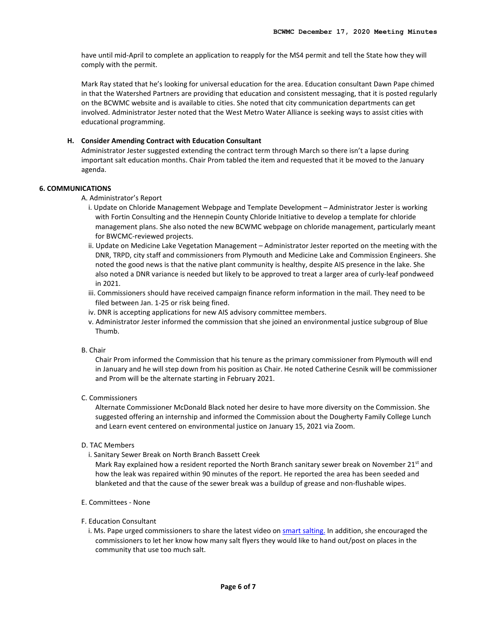have until mid-April to complete an application to reapply for the MS4 permit and tell the State how they will comply with the permit.

Mark Ray stated that he's looking for universal education for the area. Education consultant Dawn Pape chimed in that the Watershed Partners are providing that education and consistent messaging, that it is posted regularly on the BCWMC website and is available to cities. She noted that city communication departments can get involved. Administrator Jester noted that the West Metro Water Alliance is seeking ways to assist cities with educational programming.

#### **H. Consider Amending Contract with Education Consultant**

Administrator Jester suggested extending the contract term through March so there isn't a lapse during important salt education months. Chair Prom tabled the item and requested that it be moved to the January agenda.

#### **6. COMMUNICATIONS**

A. Administrator's Report

- i. Update on Chloride Management Webpage and Template Development Administrator Jester is working with Fortin Consulting and the Hennepin County Chloride Initiative to develop a template for chloride management plans. She also noted the new BCWMC webpage on chloride management, particularly meant for BWCMC-reviewed projects.
- ii. Update on Medicine Lake Vegetation Management Administrator Jester reported on the meeting with the DNR, TRPD, city staff and commissioners from Plymouth and Medicine Lake and Commission Engineers. She noted the good news is that the native plant community is healthy, despite AIS presence in the lake. She also noted a DNR variance is needed but likely to be approved to treat a larger area of curly-leaf pondweed in 2021.
- iii. Commissioners should have received campaign finance reform information in the mail. They need to be filed between Jan. 1-25 or risk being fined.
- iv. DNR is accepting applications for new AIS advisory committee members.
- v. Administrator Jester informed the commission that she joined an environmental justice subgroup of Blue Thumb.

#### B. Chair

Chair Prom informed the Commission that his tenure as the primary commissioner from Plymouth will end in January and he will step down from his position as Chair. He noted Catherine Cesnik will be commissioner and Prom will be the alternate starting in February 2021.

# C. Commissioners

Alternate Commissioner McDonald Black noted her desire to have more diversity on the Commission. She suggested offering an internship and informed the Commission about the Dougherty Family College Lunch and Learn event centered on environmental justice on January 15, 2021 via Zoom.

## D. TAC Members

i. Sanitary Sewer Break on North Branch Bassett Creek

Mark Ray explained how a resident reported the North Branch sanitary sewer break on November 21<sup>st</sup> and how the leak was repaired within 90 minutes of the report. He reported the area has been seeded and blanketed and that the cause of the sewer break was a buildup of grease and non-flushable wipes.

#### E. Committees - None

#### F. Education Consultant

i. Ms. Pape urged commissioners to share the latest video on [smart salting.](https://www.youtube.com/watch?v=EFOJBfTYn-g&feature=youtu.be) In addition, she encouraged the commissioners to let her know how many salt flyers they would like to hand out/post on places in the community that use too much salt.